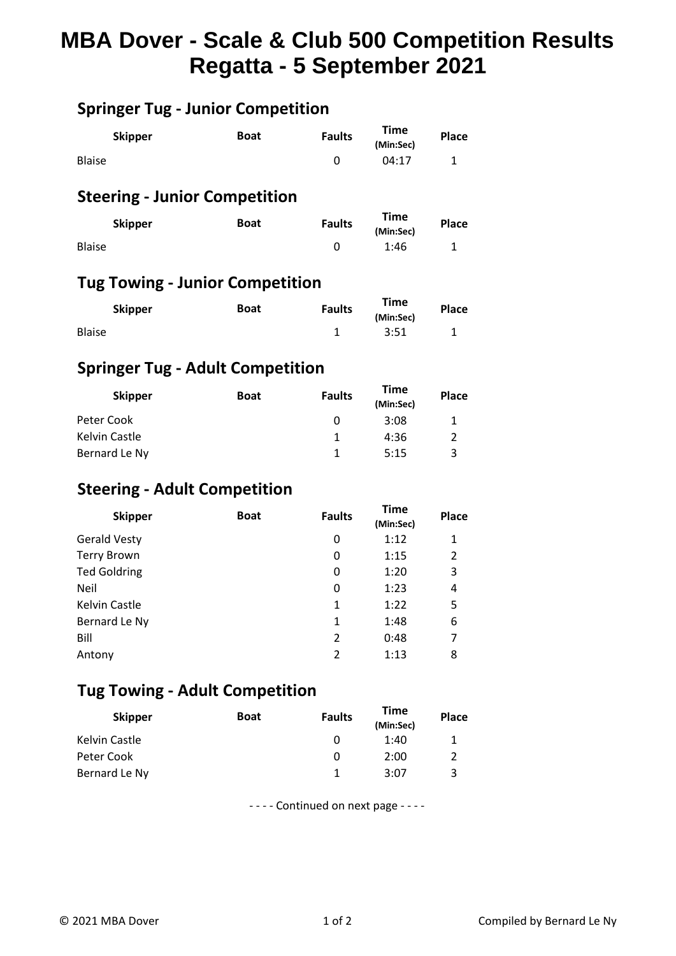# **MBA Dover - Scale & Club 500 Competition Results Regatta - 5 September 2021**

# **Springer Tug - Junior Competition**

| <b>Skipper</b> | <b>Boat</b> |  | <b>Time</b><br>(Min:Sec) | <b>Place</b> |
|----------------|-------------|--|--------------------------|--------------|
| <b>Blaise</b>  |             |  | 04:17                    | ᅩ            |

### **Steering - Junior Competition**

| <b>Skipper</b> | <b>Faults</b><br><b>Boat</b> |  | <b>Time</b><br>(Min:Sec) | <b>Place</b> |
|----------------|------------------------------|--|--------------------------|--------------|
| <b>Blaise</b>  |                              |  | 1:46                     | -            |

### **Tug Towing - Junior Competition**

| <b>Skipper</b> | <b>Boat</b> | <b>Faults</b> | <b>Time</b><br>(Min:Sec) | Place |
|----------------|-------------|---------------|--------------------------|-------|
| <b>Blaise</b>  |             |               | 3:51                     |       |

# **Springer Tug - Adult Competition**

| <b>Skipper</b> | <b>Boat</b> | <b>Faults</b> | Time<br>(Min:Sec) | <b>Place</b> |
|----------------|-------------|---------------|-------------------|--------------|
| Peter Cook     |             |               | 3:08              |              |
| Kelvin Castle  |             |               | 4:36              |              |
| Bernard Le Ny  |             |               | 5:15              | ີ            |

### **Steering - Adult Competition**

| <b>Skipper</b>      | <b>Boat</b> | <b>Faults</b>            | <b>Time</b><br>(Min:Sec) | Place |
|---------------------|-------------|--------------------------|--------------------------|-------|
| <b>Gerald Vesty</b> |             | 0                        | 1:12                     | 1     |
| <b>Terry Brown</b>  |             | 0                        | 1:15                     | 2     |
| <b>Ted Goldring</b> |             | 0                        | 1:20                     | 3     |
| Neil                |             | 0                        | 1:23                     | 4     |
| Kelvin Castle       |             | 1                        | 1:22                     | 5     |
| Bernard Le Ny       |             | 1                        | 1:48                     | 6     |
| Bill                |             | 2                        | 0:48                     | 7     |
| Antony              |             | $\overline{\phantom{a}}$ | 1:13                     | 8     |

### **Tug Towing - Adult Competition**

| <b>Skipper</b> | <b>Boat</b> | <b>Faults</b> | Time<br>(Min:Sec) | <b>Place</b> |  |
|----------------|-------------|---------------|-------------------|--------------|--|
| Kelvin Castle  |             | O             | 1:40              |              |  |
| Peter Cook     |             | 0             | 2:00              | 2            |  |
| Bernard Le Ny  |             |               | 3:07              | 3            |  |

- - - - Continued on next page - - - -